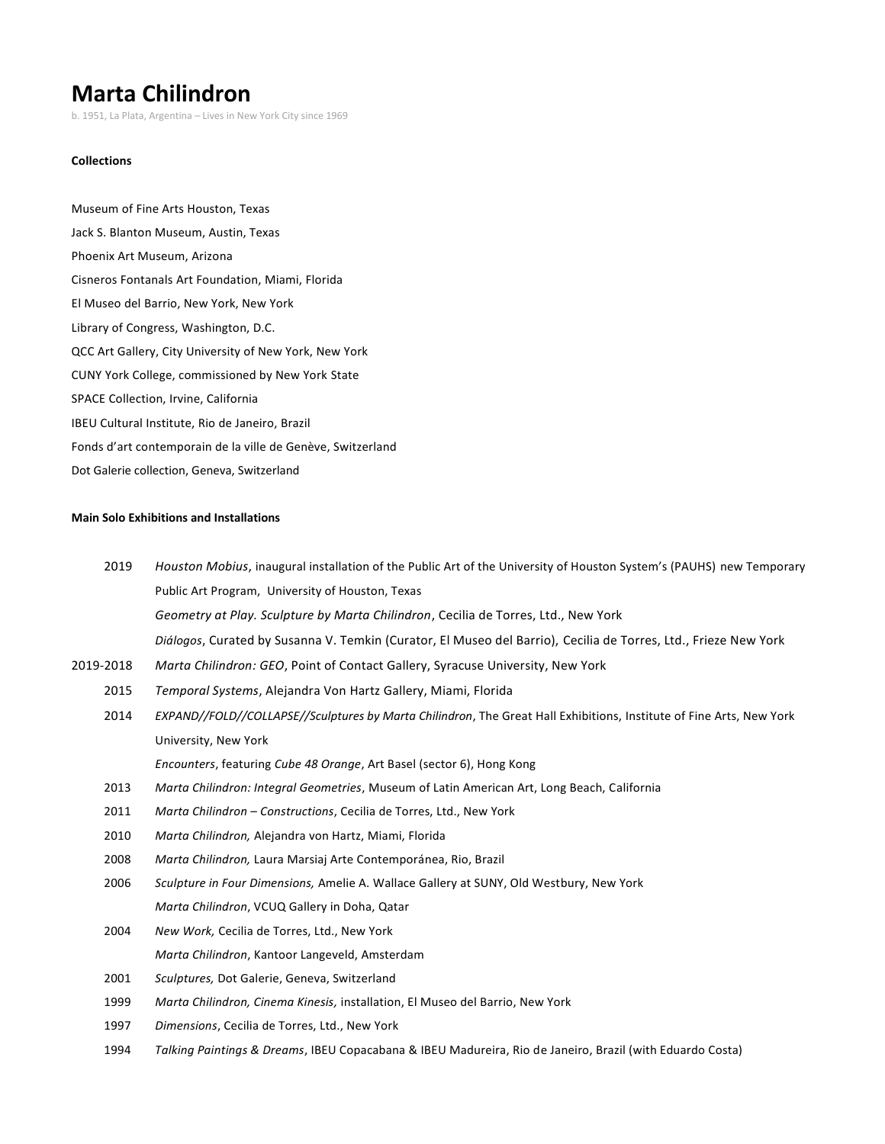# **Marta Chilindron**

b. 1951, La Plata, Argentina – Lives in New York City since 1969

## **Collections**

Museum of Fine Arts Houston, Texas Jack S. Blanton Museum, Austin, Texas Phoenix Art Museum, Arizona Cisneros Fontanals Art Foundation, Miami, Florida El Museo del Barrio, New York, New York Library of Congress, Washington, D.C. QCC Art Gallery, City University of New York, New York CUNY York College, commissioned by New York State SPACE Collection, Irvine, California IBEU Cultural Institute, Rio de Janeiro, Brazil Fonds d'art contemporain de la ville de Genève, Switzerland Dot Galerie collection, Geneva, Switzerland

## **Main Solo Exhibitions and Installations**

| 2019      | Houston Mobius, inaugural installation of the Public Art of the University of Houston System's (PAUHS) new Temporary |
|-----------|----------------------------------------------------------------------------------------------------------------------|
|           | Public Art Program, University of Houston, Texas                                                                     |
|           | Geometry at Play. Sculpture by Marta Chilindron, Cecilia de Torres, Ltd., New York                                   |
|           | Diálogos, Curated by Susanna V. Temkin (Curator, El Museo del Barrio), Cecilia de Torres, Ltd., Frieze New York      |
| 2019-2018 | Marta Chilindron: GEO, Point of Contact Gallery, Syracuse University, New York                                       |
| 2015      | Temporal Systems, Alejandra Von Hartz Gallery, Miami, Florida                                                        |
| 2014      | EXPAND//FOLD//COLLAPSE//Sculptures by Marta Chilindron, The Great Hall Exhibitions, Institute of Fine Arts, New York |
|           | University, New York                                                                                                 |
|           | Encounters, featuring Cube 48 Orange, Art Basel (sector 6), Hong Kong                                                |
| 2013      | Marta Chilindron: Integral Geometries, Museum of Latin American Art, Long Beach, California                          |
| 2011      | Marta Chilindron - Constructions, Cecilia de Torres, Ltd., New York                                                  |
| 2010      | Marta Chilindron, Alejandra von Hartz, Miami, Florida                                                                |
| 2008      | Marta Chilindron, Laura Marsiaj Arte Contemporánea, Rio, Brazil                                                      |
| 2006      | Sculpture in Four Dimensions, Amelie A. Wallace Gallery at SUNY, Old Westbury, New York                              |
|           | Marta Chilindron, VCUQ Gallery in Doha, Qatar                                                                        |
| 2004      | New Work, Cecilia de Torres, Ltd., New York                                                                          |
|           | Marta Chilindron, Kantoor Langeveld, Amsterdam                                                                       |
| 2001      | Sculptures, Dot Galerie, Geneva, Switzerland                                                                         |
| 1999      | Marta Chilindron, Cinema Kinesis, installation, El Museo del Barrio, New York                                        |
| 1997      | Dimensions, Cecilia de Torres, Ltd., New York                                                                        |
| 1994      | Talking Paintings & Dreams, IBEU Copacabana & IBEU Madureira, Rio de Janeiro, Brazil (with Eduardo Costa)            |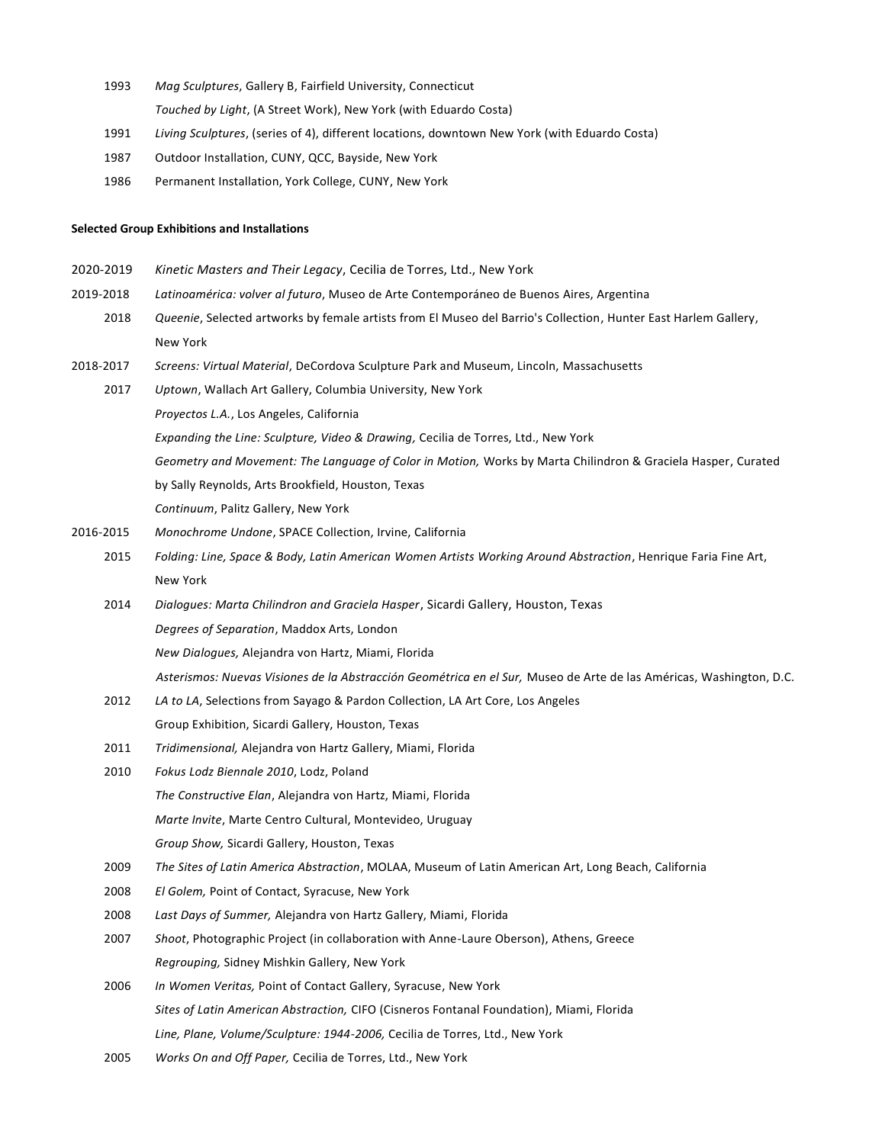- 1993 *Mag Sculptures*, Gallery B, Fairfield University, Connecticut
	- *Touched by Light*, (A Street Work), New York (with Eduardo Costa)
- 1991 *Living Sculptures*, (series of 4), different locations, downtown New York (with Eduardo Costa)
- 1987 Outdoor Installation, CUNY, QCC, Bayside, New York
- 1986 Permanent Installation, York College, CUNY, New York

# **Selected Group Exhibitions and Installations**

| 2020-2019 | Kinetic Masters and Their Legacy, Cecilia de Torres, Ltd., New York                                                 |
|-----------|---------------------------------------------------------------------------------------------------------------------|
| 2019-2018 | Latinoamérica: volver al futuro, Museo de Arte Contemporáneo de Buenos Aires, Argentina                             |
| 2018      | Queenie, Selected artworks by female artists from El Museo del Barrio's Collection, Hunter East Harlem Gallery,     |
|           | New York                                                                                                            |
| 2018-2017 | Screens: Virtual Material, DeCordova Sculpture Park and Museum, Lincoln, Massachusetts                              |
| 2017      | Uptown, Wallach Art Gallery, Columbia University, New York                                                          |
|           | Proyectos L.A., Los Angeles, California                                                                             |
|           | Expanding the Line: Sculpture, Video & Drawing, Cecilia de Torres, Ltd., New York                                   |
|           | Geometry and Movement: The Language of Color in Motion, Works by Marta Chilindron & Graciela Hasper, Curated        |
|           | by Sally Reynolds, Arts Brookfield, Houston, Texas                                                                  |
|           | Continuum, Palitz Gallery, New York                                                                                 |
| 2016-2015 | Monochrome Undone, SPACE Collection, Irvine, California                                                             |
| 2015      | Folding: Line, Space & Body, Latin American Women Artists Working Around Abstraction, Henrique Faria Fine Art,      |
|           | New York                                                                                                            |
| 2014      | Dialogues: Marta Chilindron and Graciela Hasper, Sicardi Gallery, Houston, Texas                                    |
|           | Degrees of Separation, Maddox Arts, London                                                                          |
|           | New Dialogues, Alejandra von Hartz, Miami, Florida                                                                  |
|           | Asterismos: Nuevas Visiones de la Abstracción Geométrica en el Sur, Museo de Arte de las Américas, Washington, D.C. |
| 2012      | LA to LA, Selections from Sayago & Pardon Collection, LA Art Core, Los Angeles                                      |
|           | Group Exhibition, Sicardi Gallery, Houston, Texas                                                                   |
| 2011      | Tridimensional, Alejandra von Hartz Gallery, Miami, Florida                                                         |
| 2010      | Fokus Lodz Biennale 2010, Lodz, Poland                                                                              |
|           | The Constructive Elan, Alejandra von Hartz, Miami, Florida                                                          |
|           | Marte Invite, Marte Centro Cultural, Montevideo, Uruguay                                                            |
|           | Group Show, Sicardi Gallery, Houston, Texas                                                                         |
| 2009      | The Sites of Latin America Abstraction, MOLAA, Museum of Latin American Art, Long Beach, California                 |
| 2008      | El Golem, Point of Contact, Syracuse, New York                                                                      |
| 2008      | Last Days of Summer, Alejandra von Hartz Gallery, Miami, Florida                                                    |
| 2007      | Shoot, Photographic Project (in collaboration with Anne-Laure Oberson), Athens, Greece                              |
|           | Regrouping, Sidney Mishkin Gallery, New York                                                                        |
| 2006      | In Women Veritas, Point of Contact Gallery, Syracuse, New York                                                      |
|           | Sites of Latin American Abstraction, CIFO (Cisneros Fontanal Foundation), Miami, Florida                            |
|           | Line, Plane, Volume/Sculpture: 1944-2006, Cecilia de Torres, Ltd., New York                                         |
| 2005      | Works On and Off Paper, Cecilia de Torres, Ltd., New York                                                           |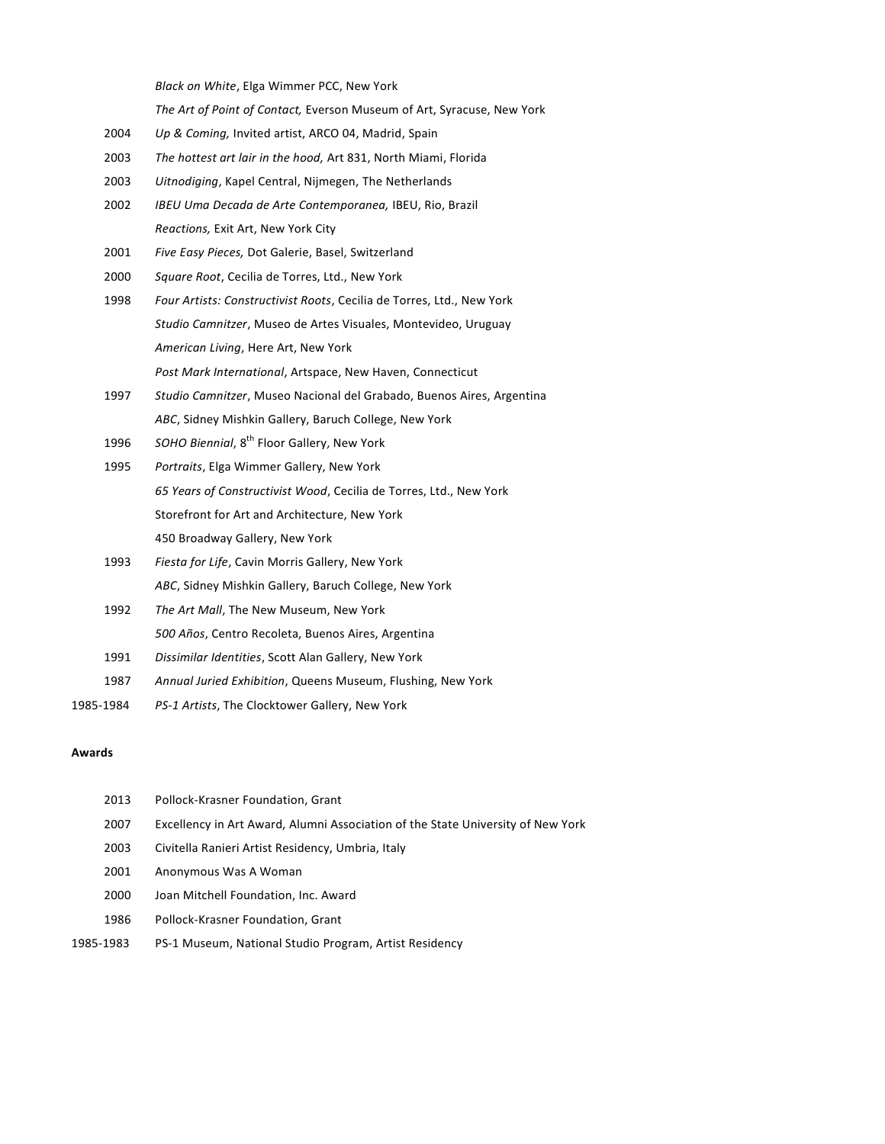*Black on White*, Elga Wimmer PCC, New York

*The Art of Point of Contact,* Everson Museum of Art, Syracuse, New York

- 2004 *Up & Coming,* Invited artist, ARCO 04, Madrid, Spain
- 2003 *The hottest art lair in the hood,* Art 831, North Miami, Florida
- 2003 *Uitnodiging*, Kapel Central, Nijmegen, The Netherlands
- 2002 *IBEU Uma Decada de Arte Contemporanea,* IBEU, Rio, Brazil *Reactions,* Exit Art, New York City
- 2001 *Five Easy Pieces,* Dot Galerie, Basel, Switzerland
- 2000 *Square Root*, Cecilia de Torres, Ltd., New York
- 1998 *Four Artists: Constructivist Roots*, Cecilia de Torres, Ltd., New York *Studio Camnitzer*, Museo de Artes Visuales, Montevideo, Uruguay *American Living*, Here Art, New York *Post Mark International*, Artspace, New Haven, Connecticut
- 1997 *Studio Camnitzer*, Museo Nacional del Grabado, Buenos Aires, Argentina *ABC*, Sidney Mishkin Gallery, Baruch College, New York
- 1996 SOHO Biennial, 8<sup>th</sup> Floor Gallery, New York
- 1995 *Portraits*, Elga Wimmer Gallery, New York *65 Years of Constructivist Wood*, Cecilia de Torres, Ltd., New York Storefront for Art and Architecture, New York 450 Broadway Gallery, New York
- 1993 *Fiesta for Life*, Cavin Morris Gallery, New York *ABC*, Sidney Mishkin Gallery, Baruch College, New York
- 1992 *The Art Mall*, The New Museum, New York *500 Años*, Centro Recoleta, Buenos Aires, Argentina
- 1991 *Dissimilar Identities*, Scott Alan Gallery, New York
- 1987 *Annual Juried Exhibition*, Queens Museum, Flushing, New York
- 1985-1984 *PS-1 Artists*, The Clocktower Gallery, New York

### **Awards**

- 2013 Pollock-Krasner Foundation, Grant 2007 Excellency in Art Award, Alumni Association of the State University of New York 2003 Civitella Ranieri Artist Residency, Umbria, Italy 2001 Anonymous Was A Woman 2000 Joan Mitchell Foundation, Inc. Award 1986 Pollock-Krasner Foundation, Grant
- 1985-1983 PS-1 Museum, National Studio Program, Artist Residency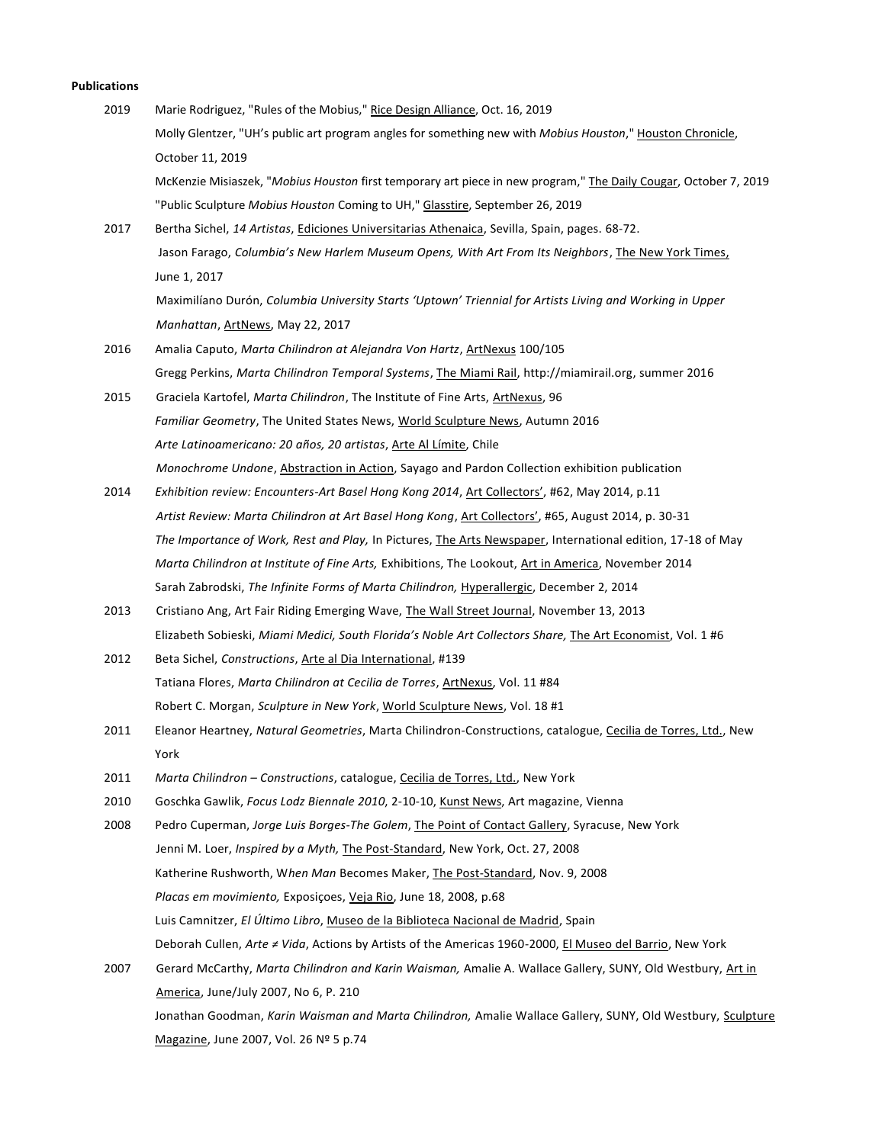### **Publications**

- 2019 Marie Rodriguez, "Rules of the Mobius," Rice Design Alliance, Oct. 16, 2019 Molly Glentzer, "UH's public art program angles for something new with *Mobius Houston*," Houston Chronicle, October 11, 2019 McKenzie Misiaszek, "*Mobius Houston* first temporary art piece in new program," The Daily Cougar, October 7, 2019 "Public Sculpture *Mobius Houston* Coming to UH," Glasstire, September 26, 2019 2017 Bertha Sichel, *14 Artistas*, Ediciones Universitarias Athenaica, Sevilla, Spain, pages. 68-72. Jason Farago, *Columbia's New Harlem Museum Opens, With Art From Its Neighbors*, The New York Times, June 1, 2017 Maximilíano Durón, *Columbia [University Starts 'Uptown' Triennial for Artists Living and Working in Upper](http://ceciliadetorres.com/pdf/press_177.pdf)  [Manhattan](http://ceciliadetorres.com/pdf/press_177.pdf)*, ArtNews, May 22, 2017 2016 Amalia Caputo, *Marta Chilindron at Alejandra Von Hartz*, ArtNexus 100/105 Gregg Perkins, *Marta Chilindron Temporal Systems*, The Miami Rail[, http://miamirail.org,](http://miamirail.org/) summer 2016 2015 Graciela Kartofel, *Marta Chilindron*, The Institute of Fine Arts, ArtNexus, 96 *Familiar Geometry*, The United States News, World Sculpture News, Autumn 2016 *Arte Latinoamericano: 20 años, 20 artistas*, Arte Al Límite, Chile *Monochrome Undone*, Abstraction in Action, Sayago and Pardon Collection exhibition publication 2014 *Exhibition review: Encounters-Art Basel Hong Kong 2014*, Art Collectors', #62, May 2014, p.11 *Artist Review: Marta Chilindron at Art Basel Hong Kong*, Art Collectors', #65, August 2014, p. 30-31 *The Importance of Work, Rest and Play,* In Pictures, The Arts Newspaper, International edition, 17-18 of May *Marta Chilindron at Institute of Fine Arts,* Exhibitions, The Lookout, Art in America, November 2014 Sarah Zabrodski, *The Infinite Forms of Marta Chilindron,* Hyperallergic, December 2, 2014 2013 Cristiano Ang, Art Fair Riding Emerging Wave, The Wall Street Journal, November 13, 2013 Elizabeth Sobieski, *Miami Medici, South Florida's Noble Art Collectors Share,* The Art Economist, Vol. 1 #6 2012 Beta Sichel, *Constructions*, Arte al Dia International, #139 Tatiana Flores, *Marta Chilindron at Cecilia de Torres*, ArtNexus, Vol. 11 #84 Robert C. Morgan, *Sculpture in New York*, World Sculpture News, Vol. 18 #1 2011 Eleanor Heartney, *Natural Geometries*, Marta Chilindron-Constructions, catalogue, Cecilia de Torres, Ltd., New York
	- 2011 *Marta Chilindron – Constructions*, catalogue, Cecilia de Torres, Ltd., New York
	- 2010 Goschka Gawlik, *Focus Lodz Biennale 2010*, 2-10-10, Kunst News, Art magazine, Vienna
	- 2008 Pedro Cuperman, *Jorge Luis Borges-The Golem*, The Point of Contact Gallery, Syracuse, New York Jenni M. Loer, *Inspired by a Myth,* The Post-Standard, New York, Oct. 27, 2008 Katherine Rushworth, W*hen Man* Becomes Maker, The Post-Standard, Nov. 9, 2008 *Placas em movimiento,* Exposiçoes, Veja Rio, June 18, 2008, p.68 Luis Camnitzer, *El Último Libro*, Museo de la Biblioteca Nacional de Madrid, Spain Deborah Cullen, *Arte ≠ Vida*, Actions by Artists of the Americas 1960-2000, El Museo del Barrio, New York 2007 Gerard McCarthy, *Marta Chilindron and Karin Waisman,* Amalie A. Wallace Gallery, SUNY, Old Westbury, Art in America, June/July 2007, No 6, P. 210

Jonathan Goodman, *Karin Waisman and Marta Chilindron,* Amalie Wallace Gallery, SUNY, Old Westbury, Sculpture Magazine, June 2007, Vol. 26 Nº 5 p.74